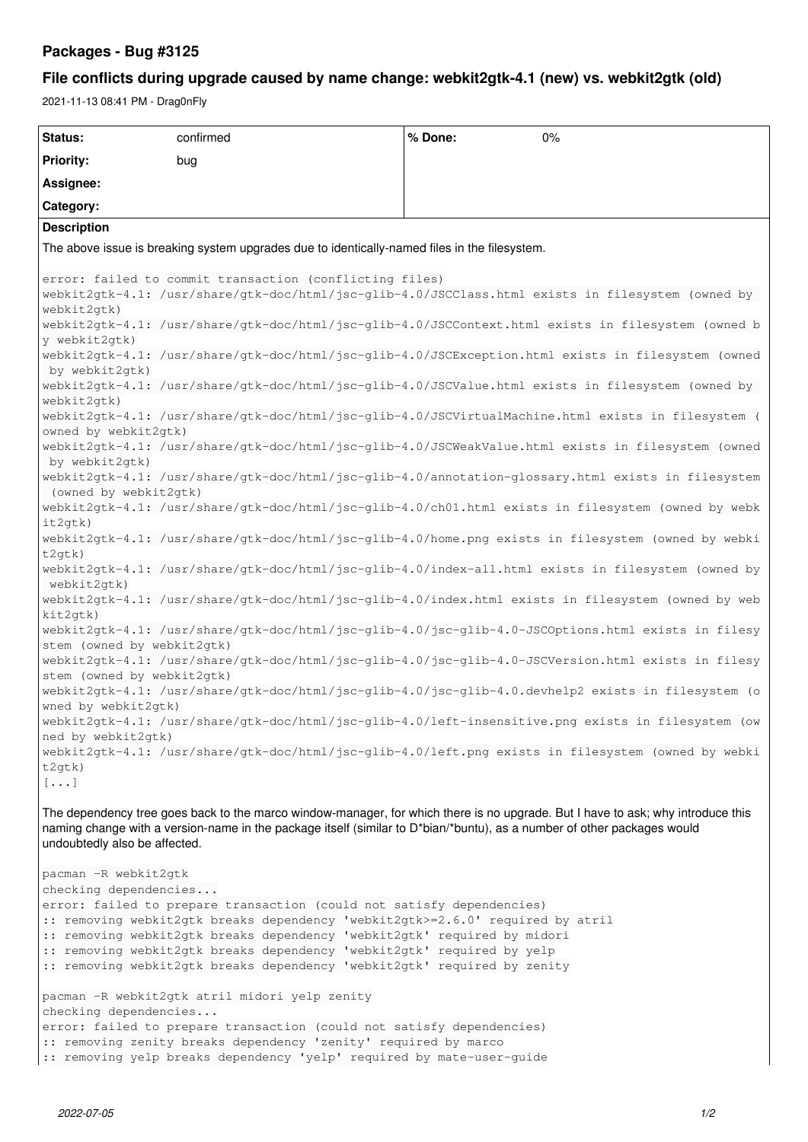# **Packages - Bug #3125**

# **File conflicts during upgrade caused by name change: webkit2gtk-4.1 (new) vs. webkit2gtk (old)**

2021-11-13 08:41 PM - Drag0nFly

| Status:                                                                                                                                                                     | confirmed                                                                                          | % Done: | 0% |
|-----------------------------------------------------------------------------------------------------------------------------------------------------------------------------|----------------------------------------------------------------------------------------------------|---------|----|
| <b>Priority:</b>                                                                                                                                                            | bug                                                                                                |         |    |
| Assignee:                                                                                                                                                                   |                                                                                                    |         |    |
| Category:                                                                                                                                                                   |                                                                                                    |         |    |
| <b>Description</b>                                                                                                                                                          |                                                                                                    |         |    |
| The above issue is breaking system upgrades due to identically-named files in the filesystem.                                                                               |                                                                                                    |         |    |
| error: failed to commit transaction (conflicting files)<br>webkit2gtk-4.1: /usr/share/gtk-doc/html/jsc-glib-4.0/JSCClass.html exists in filesystem (owned by<br>webkit2qtk) |                                                                                                    |         |    |
| y webkit2gtk)                                                                                                                                                               | webkit2gtk-4.1: /usr/share/gtk-doc/html/jsc-glib-4.0/JSCContext.html exists in filesystem (owned b |         |    |
| by webkit2qtk)                                                                                                                                                              | webkit2gtk-4.1: /usr/share/gtk-doc/html/jsc-glib-4.0/JSCException.html exists in filesystem (owned |         |    |
| webkit2qtk)                                                                                                                                                                 | webkit2gtk-4.1: /usr/share/gtk-doc/html/jsc-glib-4.0/JSCValue.html exists in filesystem (owned by  |         |    |
| webkit2gtk-4.1: /usr/share/gtk-doc/html/jsc-glib-4.0/JSCVirtualMachine.html exists in filesystem (<br>owned by webkit2qtk)                                                  |                                                                                                    |         |    |
| by webkit2qtk)                                                                                                                                                              | webkit2qtk-4.1: /usr/share/qtk-doc/html/jsc-qlib-4.0/JSCWeakValue.html exists in filesystem (owned |         |    |
| webkit2gtk-4.1: /usr/share/gtk-doc/html/jsc-glib-4.0/annotation-glossary.html exists in filesystem<br>(owned by webkit2qtk)                                                 |                                                                                                    |         |    |
| it2qtk)                                                                                                                                                                     | webkit2gtk-4.1: /usr/share/gtk-doc/html/jsc-glib-4.0/ch01.html exists in filesystem (owned by webk |         |    |
| t2qtk                                                                                                                                                                       | webkit2gtk-4.1: /usr/share/gtk-doc/html/jsc-glib-4.0/home.png exists in filesystem (owned by webki |         |    |
| webkit2qtk)                                                                                                                                                                 | webkit2gtk-4.1: /usr/share/gtk-doc/html/jsc-glib-4.0/index-all.html exists in filesystem (owned by |         |    |
| kit2qtk)                                                                                                                                                                    | webkit2gtk-4.1: /usr/share/gtk-doc/html/jsc-glib-4.0/index.html exists in filesystem (owned by web |         |    |
| stem (owned by webkit2gtk)                                                                                                                                                  | webkit2gtk-4.1: /usr/share/gtk-doc/html/jsc-glib-4.0/jsc-glib-4.0-JSCOptions.html exists in filesy |         |    |
| stem (owned by webkit2gtk)                                                                                                                                                  | webkit2gtk-4.1: /usr/share/gtk-doc/html/jsc-glib-4.0/jsc-glib-4.0-JSCVersion.html exists in filesy |         |    |
| webkit2gtk-4.1: /usr/share/gtk-doc/html/jsc-glib-4.0/jsc-glib-4.0.devhelp2 exists in filesystem (o<br>wned by webkit2gtk)                                                   |                                                                                                    |         |    |
| webkit2gtk-4.1: /usr/share/gtk-doc/html/jsc-glib-4.0/left-insensitive.png exists in filesystem (ow<br>ned by webkit2qtk)                                                    |                                                                                                    |         |    |
| webkit2gtk-4.1: /usr/share/gtk-doc/html/jsc-glib-4.0/left.png exists in filesystem (owned by webki<br>t2qtk<br>$[\ldots]$                                                   |                                                                                                    |         |    |

The dependency tree goes back to the marco window-manager, for which there is no upgrade. But I have to ask; why introduce this naming change with a version-name in the package itself (similar to D\*bian/\*buntu), as a number of other packages would undoubtedly also be affected.

pacman -R webkit2gtk checking dependencies... error: failed to prepare transaction (could not satisfy dependencies) :: removing webkit2gtk breaks dependency 'webkit2gtk>=2.6.0' required by atril :: removing webkit2gtk breaks dependency 'webkit2gtk' required by midori :: removing webkit2gtk breaks dependency 'webkit2gtk' required by yelp :: removing webkit2gtk breaks dependency 'webkit2gtk' required by zenity pacman -R webkit2gtk atril midori yelp zenity checking dependencies... error: failed to prepare transaction (could not satisfy dependencies) :: removing zenity breaks dependency 'zenity' required by marco :: removing yelp breaks dependency 'yelp' required by mate-user-guide